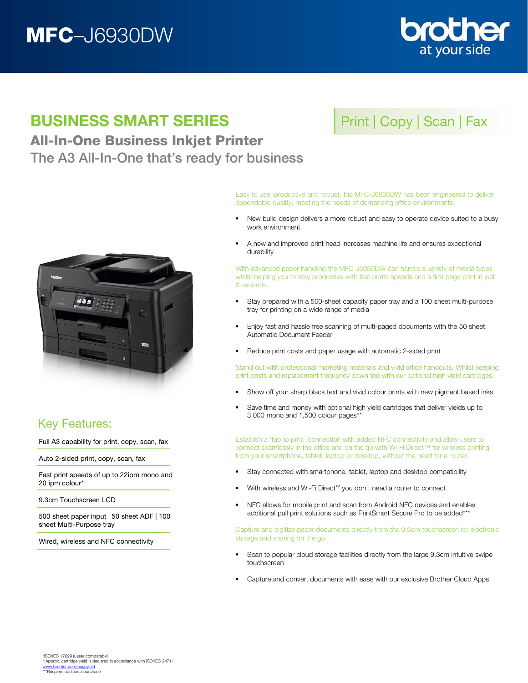# MFC–J6930DW



## BUSINESS SMART SERIES

### All-In-One Business Inkjet Printer The A3 All-In-One that's ready for business



Easy to use, productive and robust, the MFC-J6930DW has been engineered to deliver dependable quality, meeting the needs of demanding office environments.

- New build design delivers a more robust and easy to operate device suited to a busy work environment
- A new and improved print head increases machine life and ensures exceptional durability

With advanced paper handling the MFC-J6930DW can handle a variety of media types whilst helping you to stay productive with fast prints speeds and a first page print in just 6 seconds.

- Stay prepared with a 500-sheet capacity paper tray and a 100 sheet multi-purpose tray for printing on a wide range of media
- Enjoy fast and hassle free scanning of multi-paged documents with the 50 sheet Automatic Document Feeder
- Reduce print costs and paper usage with automatic 2-sided print

Stand out with professional marketing materials and vivid office handouts. Whilst keeping print costs and replacement frequency down too with our optional high yield cartridges.

- Show off your sharp black text and vivid colour prints with new pigment based inks
- Save time and money with optional high yield cartridges that deliver yields up to 3,000 mono and 1,500 colour pages\*\*

Establish a 'tap to print' connection with added NFC connectivity and allow users to connect seamlessly in the office and on the go with Wi-Fi Direct™ for wireless printing from your smartphone, tablet, laptop or desktop, without the need for a router.

- Stay connected with smartphone, tablet, laptop and desktop compatibility
- With wireless and Wi-Fi Direct<sup>™</sup> you don't need a router to connect
- NFC allows for mobile print and scan from Android NFC devices and enables additional pull print solutions such as PrintSmart Secure Pro to be added\*\*\*

Capture and digitize paper documents directly from the 9.3cm touchscreen for electronic storage and sharing on the go.

- Scan to popular cloud storage facilities directly from the large 9.3cm intuitive swipe touchscreen
- Capture and convert documents with ease with our exclusive Brother Cloud Apps



### Key Features:

Full A3 capability for print, copy, scan, fax

Auto 2-sided print, copy, scan, fax

Fast print speeds of up to 22ipm mono and 20 ipm colour\*

9.3cm Touchscreen LCD

500 sheet paper input | 50 sheet ADF | 100 sheet Multi-Purpose tray

Wired, wireless and NFC connectivity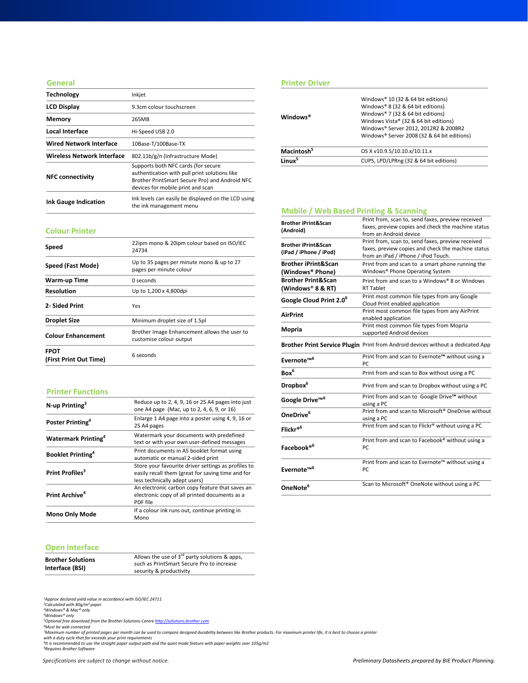#### **General**

| <b>Technology</b>                 | Inkjet                                                                                                                                                                      |  |
|-----------------------------------|-----------------------------------------------------------------------------------------------------------------------------------------------------------------------------|--|
| <b>LCD Display</b>                | 9.3cm colour touchscreen                                                                                                                                                    |  |
| Memory                            | 265MB                                                                                                                                                                       |  |
| Local Interface                   | Hi-Speed USB 2.0                                                                                                                                                            |  |
| <b>Wired Network Interface</b>    | 10Base-T/100Base-TX                                                                                                                                                         |  |
| <b>Wireless Network Interface</b> | 802.11b/g/n (Infrastructure Mode)                                                                                                                                           |  |
| <b>NFC connectivity</b>           | Supports both NFC cards (for secure<br>authentication with pull print solutions like<br>Brother PrintSmart Secure Pro) and Android NFC<br>devices for mobile print and scan |  |
| <b>Ink Gauge Indication</b>       | Ink levels can easily be displayed on the LCD using<br>the ink management menu                                                                                              |  |

#### **Colour Printer**

| Speed                                 | 22ipm mono & 20ipm colour based on ISO/IEC<br>24734                     |  |
|---------------------------------------|-------------------------------------------------------------------------|--|
| Speed (Fast Mode)                     | Up to 35 pages per minute mono & up to 27<br>pages per minute colour    |  |
| Warm-up Time                          | 0 seconds                                                               |  |
| <b>Resolution</b>                     | Up to 1,200 x 4,800dpi                                                  |  |
| 2- Sided Print                        | Yes                                                                     |  |
| <b>Droplet Size</b>                   | Minimum droplet size of 1.5pl                                           |  |
| <b>Colour Enhancement</b>             | Brother Image Enhancement allows the user to<br>customise colour output |  |
| <b>FPOT</b><br>(First Print Out Time) | 6 seconds                                                               |  |

#### **Printer Functions**

| $N$ -up Printing <sup>3</sup>          | Reduce up to 2, 4, 9, 16 or 25 A4 pages into just<br>one A4 page (Mac, up to 2, 4, 6, 9, or 16)                                           |
|----------------------------------------|-------------------------------------------------------------------------------------------------------------------------------------------|
| Poster Printing <sup>4</sup>           | Enlarge 1 A4 page into a poster using 4, 9, 16 or<br>25 A4 pages                                                                          |
| <b>Watermark Printing</b> <sup>4</sup> | Watermark your documents with predefined<br>text or with your own user-defined messages                                                   |
| <b>Booklet Printing</b> <sup>4</sup>   | Print documents in A5 booklet format using<br>automatic or manual 2-sided print                                                           |
| Print Profiles <sup>3</sup>            | Store your favourite driver settings as profiles to<br>easily recall them (great for saving time and for<br>less technically adept users) |
| Print Archive <sup>4</sup>             | An electronic carbon copy feature that saves an<br>electronic copy of all printed documents as a<br>PDF file                              |
| <b>Mono Only Mode</b>                  | If a colour ink runs out, continue printing in<br>Mono                                                                                    |

#### **Open Interface**

| <b>OPCH HILLINGS</b>                        |                                                                                                                            |  |
|---------------------------------------------|----------------------------------------------------------------------------------------------------------------------------|--|
| <b>Brother Solutions</b><br>Interface (BSI) | Allows the use of $3^{rd}$ party solutions & apps,<br>such as PrintSmart Secure Pro to increase<br>security & productivity |  |
|                                             |                                                                                                                            |  |

*1Approx declared yield value in accordance with ISO/IEC 24711 2Calculated with 80g/m² paper 3Windows® & Mac® only 4Windows® only*

<sup>s</sup>Optional free download from the Brother Solutions Centre <u>[http://solutions.brother.com](http://solutions.brother.com/)</u><br>'Must be web connected<br>''Maximum number of printed pages per month can be used to compare designed durability between like Brother

| . . |  |  |
|-----|--|--|
|     |  |  |
|     |  |  |
|     |  |  |

#### **Printer Driver**

| Windows <sup>®</sup>   | Windows® 10 (32 & 64 bit editions)<br>Windows® 8 (32 & 64 bit editions)<br>Windows® 7 (32 & 64 bit editions)<br>Windows Vista® (32 & 64 bit editions)<br>Windows® Server 2012, 2012R2 & 2008R2<br>Windows® Server 2008 (32 & 64 bit editions) |
|------------------------|-----------------------------------------------------------------------------------------------------------------------------------------------------------------------------------------------------------------------------------------------|
| Macintosh <sup>5</sup> | OS X v10.9.5/10.10.x/10.11.x                                                                                                                                                                                                                  |
| l inux <sup>5</sup>    | CUPS, LPD/LPRng (32 & 64 bit editions)                                                                                                                                                                                                        |

### **Mobile / Web Based Printing & Scanning**

| <b>Brother iPrint&amp;Scan</b><br>(Android)              | Print from, scan to, send faxes, preview received<br>faxes, preview copies and check the machine status<br>from an Android device              |  |
|----------------------------------------------------------|------------------------------------------------------------------------------------------------------------------------------------------------|--|
| <b>Brother iPrint&amp;Scan</b><br>(iPad / iPhone / iPod) | Print from, scan to, send faxes, preview received<br>faxes, preview copies and check the machine status<br>from an iPad / iPhone / iPod Touch. |  |
| <b>Brother iPrint&amp;Scan</b><br>(Windows® Phone)       | Print from and scan to a smart phone running the<br>Windows® Phone Operating System                                                            |  |
| <b>Brother Print&amp;Scan</b><br>(Windows® 8 & RT)       | Print from and scan to a Windows® 8 or Windows<br><b>RT Tablet</b>                                                                             |  |
| Google Cloud Print 2.0 <sup>6</sup>                      | Print most common file types from any Google<br>Cloud Print enabled application                                                                |  |
| <b>AirPrint</b>                                          | Print most common file types from any AirPrint<br>enabled application                                                                          |  |
| <b>Mopria</b>                                            | Print most common file types from Mopria<br>supported Android devices                                                                          |  |
|                                                          | Brother Print Service Plugin Print from Android devices without a dedicated App                                                                |  |
|                                                          |                                                                                                                                                |  |
| Evernote <sup>™6</sup>                                   | Print from and scan to Evernote™ without using a<br>PC.                                                                                        |  |
| Box <sup>6</sup>                                         | Print from and scan to Box without using a PC                                                                                                  |  |
| Dropbox <sup>6</sup>                                     | Print from and scan to Dropbox without using a PC                                                                                              |  |
| Google Drive <sup>™6</sup>                               | Print from and scan to Google Drive™ without<br>using a PC                                                                                     |  |
| OneDrive <sup>6</sup>                                    | using a PC                                                                                                                                     |  |
| Flickr® <sup>6</sup>                                     | Print from and scan to Flickr® without using a PC                                                                                              |  |
| Facebook® <sup>6</sup>                                   | Print from and scan to Facebook® without using a<br>PC                                                                                         |  |
| Evernote <sup>™6</sup>                                   | Print from and scan to Microsoft <sup>®</sup> OneDrive without<br>Print from and scan to Evernote™ without using a<br>PC                       |  |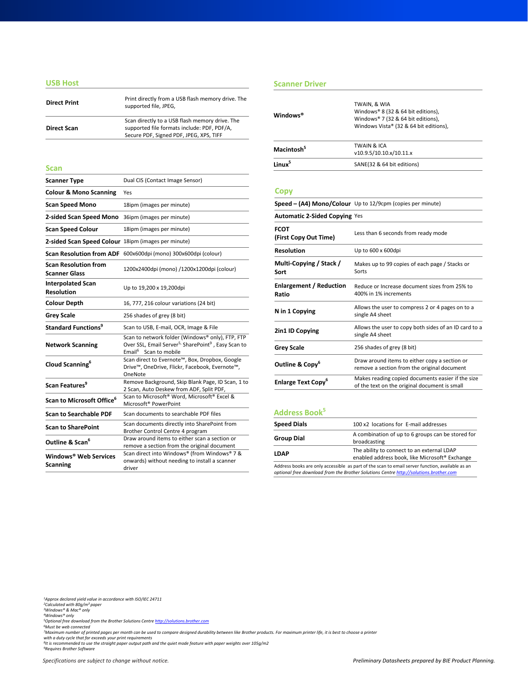#### **USB Host**

| <b>Direct Print</b> | Print directly from a USB flash memory drive. The<br>supported file, JPEG,                                                               |
|---------------------|------------------------------------------------------------------------------------------------------------------------------------------|
| <b>Direct Scan</b>  | Scan directly to a USB flash memory drive. The<br>supported file formats include: PDF, PDF/A,<br>Secure PDF, Signed PDF, JPEG, XPS, TIFF |
|                     |                                                                                                                                          |

| <b>Scanner Type</b>                                 | Dual CIS (Contact Image Sensor)                                                                                                                                      |  |  |
|-----------------------------------------------------|----------------------------------------------------------------------------------------------------------------------------------------------------------------------|--|--|
| <b>Colour &amp; Mono Scanning</b>                   | Yes                                                                                                                                                                  |  |  |
| <b>Scan Speed Mono</b>                              | 18ipm (images per minute)                                                                                                                                            |  |  |
| 2-sided Scan Speed Mono                             | 36ipm (images per minute)                                                                                                                                            |  |  |
| <b>Scan Speed Colour</b>                            | 18ipm (images per minute)                                                                                                                                            |  |  |
| 2-sided Scan Speed Colour 18ipm (images per minute) |                                                                                                                                                                      |  |  |
|                                                     | Scan Resolution from ADF 600x600dpi (mono) 300x600dpi (colour)                                                                                                       |  |  |
| <b>Scan Resolution from</b><br><b>Scanner Glass</b> | 1200x2400dpi (mono) /1200x1200dpi (colour)                                                                                                                           |  |  |
| <b>Interpolated Scan</b><br><b>Resolution</b>       | Up to 19,200 x 19,200dpi                                                                                                                                             |  |  |
| <b>Colour Depth</b>                                 | 16, 777, 216 colour variations (24 bit)                                                                                                                              |  |  |
| <b>Grey Scale</b>                                   | 256 shades of grey (8 bit)                                                                                                                                           |  |  |
| Standard Functions <sup>9</sup>                     | Scan to USB, E-mail, OCR, Image & File                                                                                                                               |  |  |
| <b>Network Scanning</b>                             | Scan to network folder (Windows® only), FTP, FTP<br>Over SSL, Email Server <sup>5,</sup> SharePoint <sup>9</sup> , Easy Scan to<br>Email <sup>6</sup> Scan to mobile |  |  |
| Cloud Scanning <sup>6</sup>                         | Scan direct to Evernote™, Box, Dropbox, Google<br>Drive™, OneDrive, Flickr, Facebook, Evernote™,<br>OneNote                                                          |  |  |
| Scan Features <sup>9</sup>                          | Remove Background, Skip Blank Page, ID Scan, 1 to<br>2 Scan, Auto Deskew from ADF, Split PDF,                                                                        |  |  |
| Scan to Microsoft Office <sup>6</sup>               | Scan to Microsoft <sup>®</sup> Word, Microsoft <sup>®</sup> Excel &<br>Microsoft <sup>®</sup> PowerPoint                                                             |  |  |
| <b>Scan to Searchable PDF</b>                       | Scan documents to searchable PDF files                                                                                                                               |  |  |
| <b>Scan to SharePoint</b>                           | Scan documents directly into SharePoint from<br>Brother Control Centre 4 program                                                                                     |  |  |
| Outline & Scan <sup>6</sup>                         | Draw around items to either scan a section or<br>remove a section from the original document                                                                         |  |  |
| Windows® Web Services<br><b>Scanning</b>            | Scan direct into Windows® (from Windows® 7 &<br>onwards) without needing to install a scanner<br>driver                                                              |  |  |

#### **Scanner Driver**

| <b>Direct Print</b>                                 | Print directly from a USB flash memory drive. The<br>supported file, JPEG,                                                                                           | Windows <sup>®</sup>                    | TWAIN, & WIA<br>Windows® 8 (32 & 64 bit editions),                                                 |  |
|-----------------------------------------------------|----------------------------------------------------------------------------------------------------------------------------------------------------------------------|-----------------------------------------|----------------------------------------------------------------------------------------------------|--|
| <b>Direct Scan</b>                                  | Scan directly to a USB flash memory drive. The<br>supported file formats include: PDF, PDF/A,<br>Secure PDF, Signed PDF, JPEG, XPS, TIFF                             |                                         | Windows® 7 (32 & 64 bit editions),<br>Windows Vista® (32 & 64 bit editions),                       |  |
|                                                     |                                                                                                                                                                      | Macintosh <sup>5</sup>                  | <b>TWAIN &amp; ICA</b><br>v10.9.5/10.10.x/10.11.x                                                  |  |
| Scan                                                |                                                                                                                                                                      | Linux <sup>5</sup>                      | SANE(32 & 64 bit editions)                                                                         |  |
| <b>Scanner Type</b>                                 | Dual CIS (Contact Image Sensor)                                                                                                                                      |                                         |                                                                                                    |  |
| <b>Colour &amp; Mono Scanning</b>                   | Yes                                                                                                                                                                  | <b>Copy</b>                             |                                                                                                    |  |
| Scan Speed Mono                                     | 18ipm (images per minute)                                                                                                                                            |                                         | Speed - (A4) Mono/Colour Up to 12/9cpm (copies per minute)                                         |  |
| 2-sided Scan Speed Mono 36ipm (images per minute)   |                                                                                                                                                                      | <b>Automatic 2-Sided Copying Yes</b>    |                                                                                                    |  |
| Scan Speed Colour                                   | 18ipm (images per minute)                                                                                                                                            | <b>FCOT</b>                             | Less than 6 seconds from ready mode                                                                |  |
| 2-sided Scan Speed Colour 18ipm (images per minute) |                                                                                                                                                                      | (First Copy Out Time)                   |                                                                                                    |  |
|                                                     | Scan Resolution from ADF 600x600dpi (mono) 300x600dpi (colour)                                                                                                       | <b>Resolution</b>                       | Up to 600 x 600dpi                                                                                 |  |
| <b>Scan Resolution from</b><br>Scanner Glass        | 1200x2400dpi (mono) /1200x1200dpi (colour)                                                                                                                           | Multi-Copying / Stack /<br>Sort         | Makes up to 99 copies of each page / Stacks or<br>Sorts                                            |  |
| <b>Interpolated Scan</b><br>Resolution              | Up to 19,200 x 19,200dpi                                                                                                                                             | <b>Enlargement / Reduction</b><br>Ratio | Reduce or Increase document sizes from 25% to<br>400% in 1% increments                             |  |
| Colour Depth                                        | 16, 777, 216 colour variations (24 bit)                                                                                                                              |                                         | Allows the user to compress 2 or 4 pages on to a                                                   |  |
| Grey Scale                                          | 256 shades of grey (8 bit)                                                                                                                                           | N in 1 Copying                          | single A4 sheet                                                                                    |  |
| Standard Functions <sup>9</sup>                     | Scan to USB, E-mail, OCR, Image & File                                                                                                                               | 2in1 ID Copying                         | Allows the user to copy both sides of an ID card to a                                              |  |
| <b>Network Scanning</b>                             | Scan to network folder (Windows® only), FTP, FTP<br>Over SSL, Email Server <sup>5,</sup> SharePoint <sup>9</sup> , Easy Scan to<br>Email <sup>6</sup> Scan to mobile | <b>Grey Scale</b>                       | single A4 sheet<br>256 shades of grey (8 bit)                                                      |  |
| Cloud Scanning <sup>6</sup>                         | Scan direct to Evernote™, Box, Dropbox, Google<br>Drive™, OneDrive, Flickr, Facebook, Evernote™,<br>OneNote                                                          | Outline & Copy <sup>6</sup>             | Draw around items to either copy a section or<br>remove a section from the original document       |  |
| Scan Features <sup>9</sup>                          | Remove Background, Skip Blank Page, ID Scan, 1 to<br>3 Cress, Autre Dealers from ADE Call& DDE.                                                                      | <b>Enlarge Text Copy<sup>6</sup></b>    | Makes reading copied documents easier if the size<br>of the text on the original document is small |  |

### **Address Book5**

| <b>Speed Dials</b> | 100 x2 locations for E-mail addresses                                                                    |
|--------------------|----------------------------------------------------------------------------------------------------------|
| <b>Group Dial</b>  | A combination of up to 6 groups can be stored for<br>broadcasting                                        |
| <b>LDAP</b>        | The ability to connect to an external LDAP<br>enabled address book, like Microsoft <sup>®</sup> Exchange |
|                    |                                                                                                          |

Address books are only accessible as part of the scan to email server function, available as an *optional free download from the Brother Solutions Centre [http://solutions.brother.com](http://solutions.brother.com/)*

*1Approx declared yield value in accordance with ISO/IEC 24711 2Calculated with 80g/m² paper 3Windows® & Mac® only 4Windows® only*

<sup>s</sup>Optional free download from the Brother Solutions Centre <u>[http://solutions.brother.com](http://solutions.brother.com/)</u><br>'Must be web connected<br>''Maximum number of printed pages per month can be used to compare designed durability between like Brother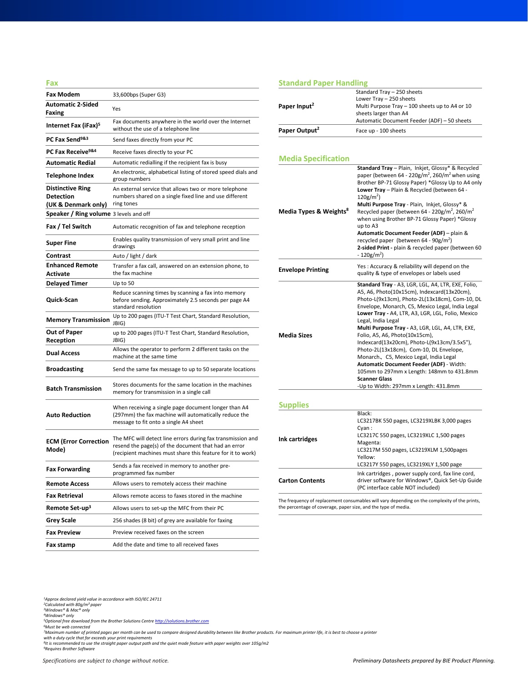| Fax                                                                |                                                                                                                                                                                    |  |
|--------------------------------------------------------------------|------------------------------------------------------------------------------------------------------------------------------------------------------------------------------------|--|
| <b>Fax Modem</b>                                                   | 33,600bps (Super G3)                                                                                                                                                               |  |
| <b>Automatic 2-Sided</b><br>Faxing                                 | Yes                                                                                                                                                                                |  |
| Internet Fax (iFax) <sup>5</sup>                                   | Fax documents anywhere in the world over the Internet<br>without the use of a telephone line                                                                                       |  |
| PC Fax Send <sup>9&amp;3</sup>                                     | Send faxes directly from your PC                                                                                                                                                   |  |
| PC Fax Receive <sup>9&amp;4</sup>                                  | Receive faxes directly to your PC                                                                                                                                                  |  |
| <b>Automatic Redial</b>                                            | Automatic redialling if the recipient fax is busy                                                                                                                                  |  |
| Telephone Index                                                    | An electronic, alphabetical listing of stored speed dials and<br>group numbers                                                                                                     |  |
| <b>Distinctive Ring</b><br><b>Detection</b><br>(UK & Denmark only) | An external service that allows two or more telephone<br>numbers shared on a single fixed line and use different<br>ring tones                                                     |  |
| <b>Speaker / Ring volume</b> 3 levels and off                      |                                                                                                                                                                                    |  |
| Fax / Tel Switch                                                   | Automatic recognition of fax and telephone reception                                                                                                                               |  |
| <b>Super Fine</b>                                                  | Enables quality transmission of very small print and line<br>drawings                                                                                                              |  |
| Contrast                                                           | Auto / light / dark                                                                                                                                                                |  |
| <b>Enhanced Remote</b><br>Activate                                 | Transfer a fax call, answered on an extension phone, to<br>the fax machine                                                                                                         |  |
| <b>Delayed Timer</b>                                               | Up to 50                                                                                                                                                                           |  |
| Quick-Scan                                                         | Reduce scanning times by scanning a fax into memory<br>before sending. Approximately 2.5 seconds per page A4<br>standard resolution                                                |  |
| <b>Memory Transmission</b>                                         | Up to 200 pages (ITU-T Test Chart, Standard Resolution,<br>JBIG)                                                                                                                   |  |
| <b>Out of Paper</b><br>Reception                                   | up to 200 pages (ITU-T Test Chart, Standard Resolution,<br>JBIG)                                                                                                                   |  |
| <b>Dual Access</b>                                                 | Allows the operator to perform 2 different tasks on the<br>machine at the same time                                                                                                |  |
| <b>Broadcasting</b>                                                | Send the same fax message to up to 50 separate locations                                                                                                                           |  |
| <b>Batch Transmission</b>                                          | Stores documents for the same location in the machines<br>memory for transmission in a single call                                                                                 |  |
| <b>Auto Reduction</b>                                              | When receiving a single page document longer than A4<br>(297mm) the fax machine will automatically reduce the<br>message to fit onto a single A4 sheet                             |  |
| <b>ECM (Error Correction</b><br>Mode)                              | The MFC will detect line errors during fax transmission and<br>resend the page(s) of the document that had an error<br>(recipient machines must share this feature for it to work) |  |
| <b>Fax Forwarding</b>                                              | Sends a fax received in memory to another pre-<br>programmed fax number                                                                                                            |  |
| <b>Remote Access</b>                                               | Allows users to remotely access their machine                                                                                                                                      |  |
| <b>Fax Retrieval</b>                                               | Allows remote access to faxes stored in the machine                                                                                                                                |  |
| Remote Set-up <sup>3</sup>                                         | Allows users to set-up the MFC from their PC                                                                                                                                       |  |
| <b>Grey Scale</b>                                                  | 256 shades (8 bit) of grey are available for faxing                                                                                                                                |  |
| <b>Fax Preview</b>                                                 | Preview received faxes on the screen                                                                                                                                               |  |
| Fax stamp                                                          | Add the date and time to all received faxes                                                                                                                                        |  |

### **Standard Paper Handling**

|                                    | Standard Tray - 250 sheets                                                                                                   |
|------------------------------------|------------------------------------------------------------------------------------------------------------------------------|
|                                    | Lower Tray - 250 sheets                                                                                                      |
| Paper Input <sup>2</sup>           | Multi Purpose Tray - 100 sheets up to A4 or 10                                                                               |
|                                    | sheets larger than A4                                                                                                        |
|                                    | Automatic Document Feeder (ADF) - 50 sheets                                                                                  |
| Paper Output <sup>2</sup>          | Face up - 100 sheets                                                                                                         |
|                                    |                                                                                                                              |
|                                    |                                                                                                                              |
| <b>Media Specification</b>         |                                                                                                                              |
|                                    | Standard Tray - Plain, Inkjet, Glossy* & Recycled<br>paper (between 64 - 220g/m <sup>2</sup> , 260/m <sup>2</sup> when using |
|                                    | Brother BP-71 Glossy Paper) *Glossy Up to A4 only<br>Lower Tray - Plain & Recycled (between 64 -                             |
|                                    | $120$ g/m <sup>2</sup> )                                                                                                     |
|                                    | Multi Purpose Tray - Plain, Inkjet, Glossy* &                                                                                |
| Media Types & Weights <sup>8</sup> | Recycled paper (between 64 - 220g/m <sup>2</sup> , 260/m <sup>2</sup><br>when using Brother BP-71 Glossy Paper) *Glossy      |
|                                    | up to A3                                                                                                                     |
|                                    | Automatic Document Feeder (ADF) - plain &                                                                                    |
|                                    | recycled paper (between 64 - 90g/m <sup>2</sup> )                                                                            |
|                                    | 2-sided Print - plain & recycled paper (between 60<br>$-120$ g/m <sup>2</sup> )                                              |
|                                    |                                                                                                                              |
| <b>Envelope Printing</b>           | Yes: Accuracy & reliability will depend on the                                                                               |
|                                    | quality & type of envelopes or labels used                                                                                   |
|                                    | Standard Tray - A3, LGR, LGL, A4, LTR, EXE, Folio,                                                                           |
|                                    | A5, A6, Photo(10x15cm), Indexcard(13x20cm),<br>Photo-L(9x13cm), Photo-2L(13x18cm), Com-10, DL                                |
|                                    | Envelope, Monarch, C5, Mexico Legal, India Legal                                                                             |
|                                    | Lower Tray - A4, LTR, A3, LGR, LGL, Folio, Mexico                                                                            |
|                                    | Legal, India Legal                                                                                                           |
|                                    | Multi Purpose Tray - A3, LGR, LGL, A4, LTR, EXE,                                                                             |
| <b>Media Sizes</b>                 | Folio, A5, A6, Photo(10x15cm),                                                                                               |
|                                    | Indexcard(13x20cm), Photo-L(9x13cm/3.5x5"),<br>Photo-2L(13x18cm), Com-10, DL Envelope,                                       |
|                                    | Monarch, C5, Mexico Legal, India Legal                                                                                       |
|                                    | Automatic Document Feeder (ADF) - Width:                                                                                     |
|                                    | 105mm to 297mm x Length: 148mm to 431.8mm                                                                                    |
|                                    | <b>Scanner Glass</b>                                                                                                         |
|                                    | -Up to Width: 297mm x Length: 431.8mm                                                                                        |
|                                    |                                                                                                                              |
| <b>Supplies</b>                    |                                                                                                                              |
| Ink cartridges                     | Black:                                                                                                                       |
|                                    | LC3217BK 550 pages, LC3219XLBK 3,000 pages<br>Cyan:                                                                          |
|                                    | LC3217C 550 pages, LC3219XLC 1,500 pages                                                                                     |
|                                    | Magenta:                                                                                                                     |
|                                    | LC3217M 550 pages, LC3219XLM 1,500pages                                                                                      |
|                                    | Yellow:<br>LC3217Y 550 pages, LC3219XLY 1,500 page                                                                           |
|                                    | Ink cartridges, power supply cord, fax line cord,                                                                            |
| <b>Carton Contents</b>             | driver software for Windows®, Quick Set-Up Guide                                                                             |
|                                    | (PC interface cable NOT included)                                                                                            |
|                                    |                                                                                                                              |

The frequency of replacement consumables will vary depending on the complexity of the prints, the percentage of coverage, paper size, and the type of media.

*<sup>1</sup>Approx declared yield value in accordance with ISO/IEC 24711 2Calculated with 80g/m² paper 3Windows® & Mac® only 4Windows® only*

<sup>&</sup>lt;sup>s</sup>Optional free download from the Brother Solutions Centre <u>[http://solutions.brother.com](http://solutions.brother.com/)</u><br>'Must be web connected<br>''Maximum number of printed pages per month can be used to compare designed durability between like Brother